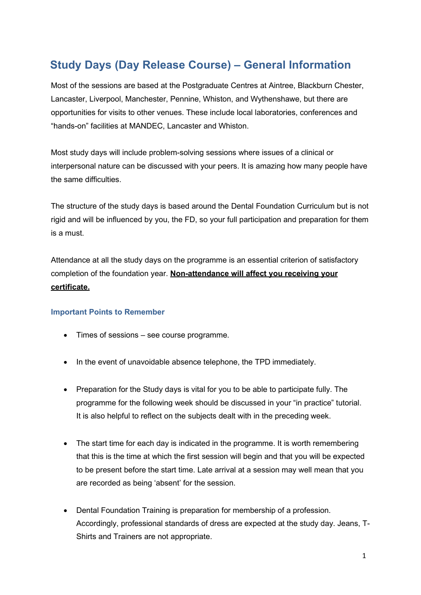## **Study Days (Day Release Course) – General Information**

Most of the sessions are based at the Postgraduate Centres at Aintree, Blackburn Chester, Lancaster, Liverpool, Manchester, Pennine, Whiston, and Wythenshawe, but there are opportunities for visits to other venues. These include local laboratories, conferences and "hands-on" facilities at MANDEC, Lancaster and Whiston.

Most study days will include problem-solving sessions where issues of a clinical or interpersonal nature can be discussed with your peers. It is amazing how many people have the same difficulties.

The structure of the study days is based around the Dental Foundation Curriculum but is not rigid and will be influenced by you, the FD, so your full participation and preparation for them is a must.

Attendance at all the study days on the programme is an essential criterion of satisfactory completion of the foundation year. **Non-attendance will affect you receiving your certificate.**

## **Important Points to Remember**

- Times of sessions see course programme.
- In the event of unavoidable absence telephone, the TPD immediately.
- Preparation for the Study days is vital for you to be able to participate fully. The programme for the following week should be discussed in your "in practice" tutorial. It is also helpful to reflect on the subjects dealt with in the preceding week.
- The start time for each day is indicated in the programme. It is worth remembering that this is the time at which the first session will begin and that you will be expected to be present before the start time. Late arrival at a session may well mean that you are recorded as being 'absent' for the session.
- Dental Foundation Training is preparation for membership of a profession. Accordingly, professional standards of dress are expected at the study day. Jeans, T-Shirts and Trainers are not appropriate.